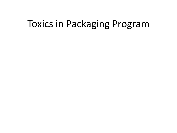#### Toxics in Packaging Program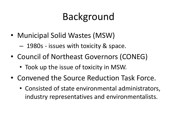- Municipal Solid Wastes (MSW)
	- 1980s issues with toxicity & space.
- Council of Northeast Governors (CONEG)
	- Took up the issue of toxicity in MSW.
- Convened the Source Reduction Task Force.
	- Consisted of state environmental administrators, industry representatives and environmentalists.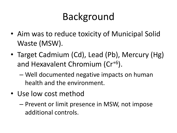- Aim was to reduce toxicity of Municipal Solid Waste (MSW).
- Target Cadmium (Cd), Lead (Pb), Mercury (Hg) and Hexavalent Chromium (Cr+6).
	- Well documented negative impacts on human health and the environment.
- Use low cost method
	- Prevent or limit presence in MSW, not impose additional controls.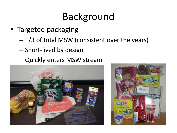- Targeted packaging
	- $-1/3$  of total MSW (consistent over the years)
	- Short-lived by design
	- Quickly enters MSW stream



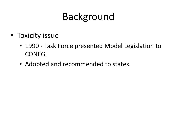- Toxicity issue
	- 1990 Task Force presented Model Legislation to CONEG.
	- Adopted and recommended to states.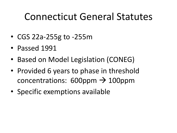#### Connecticut General Statutes

- CGS 22a-255g to -255m
- Passed 1991
- Based on Model Legislation (CONEG)
- Provided 6 years to phase in threshold concentrations:  $600$ ppm  $\rightarrow$  100ppm
- Specific exemptions available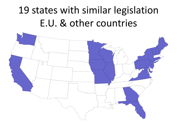# 19 states with similar legislation E.U. & other countries

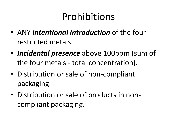#### Prohibitions

- ANY *intentional introduction* of the four restricted metals.
- *Incidental presence* above 100ppm (sum of the four metals - total concentration).
- Distribution or sale of non-compliant packaging.
- Distribution or sale of products in noncompliant packaging.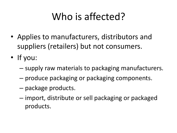# Who is affected?

- Applies to manufacturers, distributors and suppliers (retailers) but not consumers.
- If you:
	- supply raw materials to packaging manufacturers.
	- produce packaging or packaging components.
	- package products.
	- import, distribute or sell packaging or packaged products.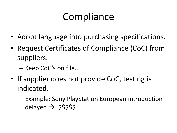## **Compliance**

- Adopt language into purchasing specifications.
- Request Certificates of Compliance (CoC) from suppliers.
	- Keep CoC's on file..
- If supplier does not provide CoC, testing is indicated.
	- Example: Sony PlayStation European introduction delayed  $\rightarrow$  \$\$\$\$\$